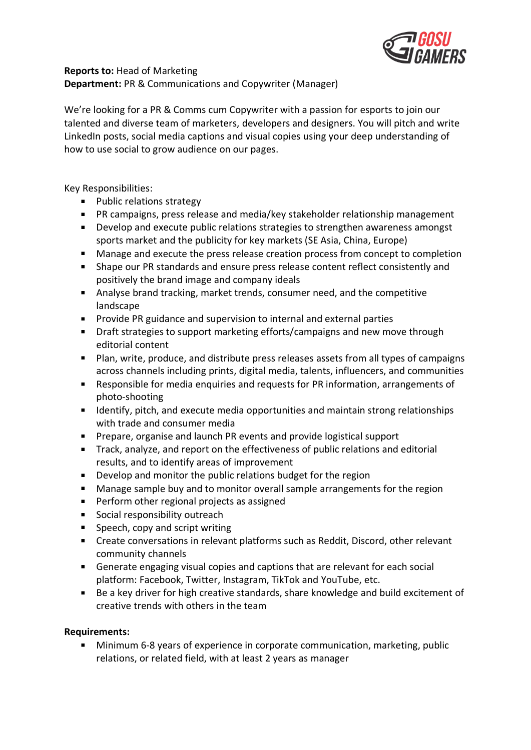

## **Reports to:** Head of Marketing

**Department:** PR & Communications and Copywriter (Manager)

We're looking for a PR & Comms cum Copywriter with a passion for esports to join our talented and diverse team of marketers, developers and designers. You will pitch and write LinkedIn posts, social media captions and visual copies using your deep understanding of how to use social to grow audience on our pages.

Key Responsibilities:

- **Public relations strategy**
- PR campaigns, press release and media/key stakeholder relationship management
- Develop and execute public relations strategies to strengthen awareness amongst sports market and the publicity for key markets (SE Asia, China, Europe)
- $\mathbf{u}$  . Manage and execute the press release creation process from concept to completion
- $\mathbf{u}$  . Shape our PR standards and ensure press release content reflect consistently and positively the brand image and company ideals
- Analyse brand tracking, market trends, consumer need, and the competitive landscape
- $\mathbf{r}$ Provide PR guidance and supervision to internal and external parties
- Draft strategies to support marketing efforts/campaigns and new move through editorial content
- **Plan, write, produce, and distribute press releases assets from all types of campaigns** across channels including prints, digital media, talents, influencers, and communities
- $\mathbf{u}$ Responsible for media enquiries and requests for PR information, arrangements of photo-shooting
- Identify, pitch, and execute media opportunities and maintain strong relationships with trade and consumer media
- Prepare, organise and launch PR events and provide logistical support
- Track, analyze, and report on the effectiveness of public relations and editorial results, and to identify areas of improvement
- $\mathbf{u}$  . Develop and monitor the public relations budget for the region
- Manage sample buy and to monitor overall sample arrangements for the region  $\mathbf{u}$  .
- $\mathbf{u}$  . Perform other regional projects as assigned
- $\mathbf{u}$  . Social responsibility outreach
- $\mathbf{m}$  . Speech, copy and script writing
- Create conversations in relevant platforms such as Reddit, Discord, other relevant community channels
- Generate engaging visual copies and captions that are relevant for each social platform: Facebook, Twitter, Instagram, TikTok and YouTube, etc.
- $\mathbf{u}$  . Be a key driver for high creative standards, share knowledge and build excitement of creative trends with others in the team

## **Requirements:**

Minimum 6-8 years of experience in corporate communication, marketing, public relations, or related field, with at least 2 years as manager